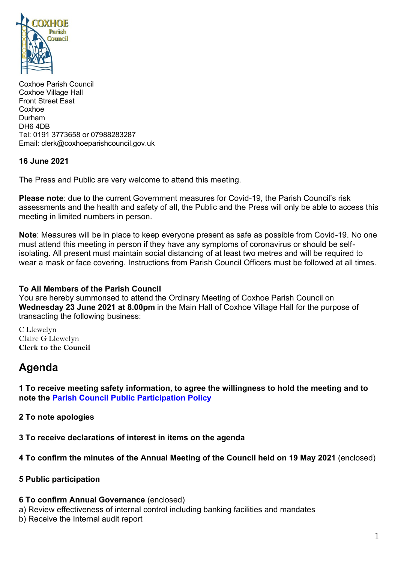

Coxhoe Parish Council Coxhoe Village Hall Front Street East Coxhoe Durham DH6 4DB Tel: 0191 3773658 or 07988283287 Email: clerk@coxhoeparishcouncil.gov.uk

### **16 June 2021**

The Press and Public are very welcome to attend this meeting.

**Please note**: due to the current Government measures for Covid-19, the Parish Council's risk assessments and the health and safety of all, the Public and the Press will only be able to access this meeting in limited numbers in person.

**Note**: Measures will be in place to keep everyone present as safe as possible from Covid-19. No one must attend this meeting in person if they have any symptoms of coronavirus or should be selfisolating. All present must maintain social distancing of at least two metres and will be required to wear a mask or face covering. Instructions from Parish Council Officers must be followed at all times.

### **To All Members of the Parish Council**

You are hereby summonsed to attend the Ordinary Meeting of Coxhoe Parish Council on **Wednesday 23 June 2021 at 8.00pm** in the Main Hall of Coxhoe Village Hall for the purpose of transacting the following business:

C Llewelyn Claire G Llewelyn **Clerk to the Council** 

# **Agenda**

**1 To receive meeting safety information, to agree the willingness to hold the meeting and to note the [Parish Council Public Participation Policy](http://coxhoeparishcouncil.gov.uk/important-documents-and-policies/public-participation-policy-fmarch-2020-review-date-march-2022/)**

**2 To note apologies**

**3 To receive declarations of interest in items on the agenda**

## **4 To confirm the minutes of the Annual Meeting of the Council held on 19 May 2021** (enclosed)

### **5 Public participation**

### **6 To confirm Annual Governance** (enclosed)

a) Review effectiveness of internal control including banking facilities and mandates

b) Receive the Internal audit report